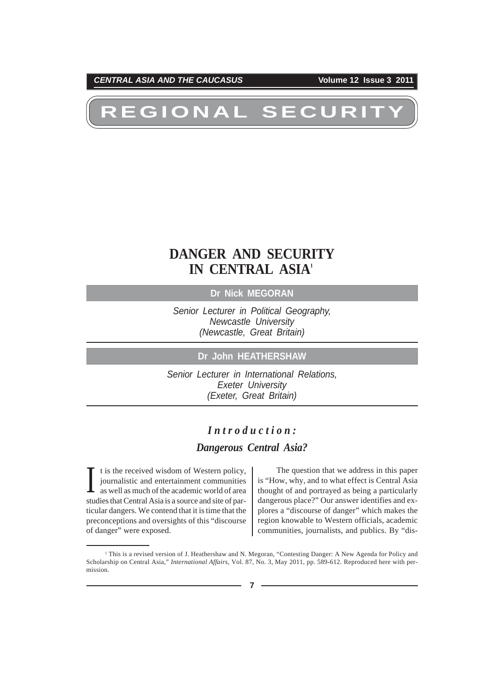

# **DANGER AND SECURITY IN CENTRAL ASIA1**

**Dr Nick MEGORAN**

Senior Lecturer in Political Geography, Newcastle University (Newcastle, Great Britain)

**Dr John HEATHERSHAW**

Senior Lecturer in International Relations, Exeter University (Exeter, Great Britain)

# *Introduction: Dangerous Central Asia?*

I t is the received wisdom of Western policy, journalistic and entertainment communities as well as much of the academic world of area studies that Central Asia is a source and site of particular dangers. We contend that it is time that the preconceptions and oversights of this "discourse of danger" were exposed.

The question that we address in this paper is "How, why, and to what effect is Central Asia thought of and portrayed as being a particularly dangerous place?" Our answer identifies and explores a "discourse of danger" which makes the region knowable to Western officials, academic communities, journalists, and publics. By "dis-

<sup>1</sup> This is a revised version of J. Heathershaw and N. Megoran, "Contesting Danger: A New Agenda for Policy and Scholarship on Central Asia," *International Affairs,* Vol. 87, No. 3, May 2011, pp. 589-612. Reproduced here with permission.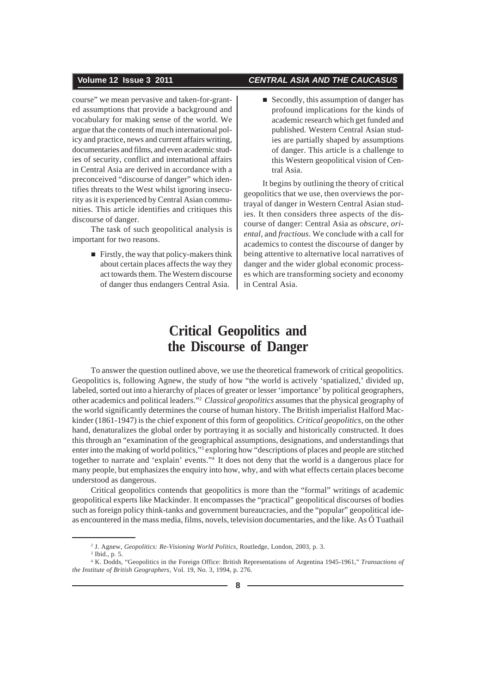course" we mean pervasive and taken-for-granted assumptions that provide a background and vocabulary for making sense of the world. We argue that the contents of much international policy and practice, news and current affairs writing, documentaries and films, and even academic studies of security, conflict and international affairs in Central Asia are derived in accordance with a preconceived "discourse of danger" which identifies threats to the West whilst ignoring insecurity as it is experienced by Central Asian communities. This article identifies and critiques this discourse of danger.

The task of such geopolitical analysis is important for two reasons.

> $\blacksquare$  Firstly, the way that policy-makers think about certain places affects the way they act towards them. The Western discourse of danger thus endangers Central Asia.

# **Volume 12 Issue 3 2011 CENTRAL ASIA AND THE CAUCASUS**

■ Secondly, this assumption of danger has profound implications for the kinds of academic research which get funded and published. Western Central Asian studies are partially shaped by assumptions of danger. This article is a challenge to this Western geopolitical vision of Central Asia.

It begins by outlining the theory of critical geopolitics that we use, then overviews the portrayal of danger in Western Central Asian studies. It then considers three aspects of the discourse of danger: Central Asia as *obscure*, *oriental*, and *fractious*. We conclude with a call for academics to contest the discourse of danger by being attentive to alternative local narratives of danger and the wider global economic processes which are transforming society and economy in Central Asia.

# **Critical Geopolitics and the Discourse of Danger**

To answer the question outlined above, we use the theoretical framework of critical geopolitics. Geopolitics is, following Agnew, the study of how "the world is actively 'spatialized,' divided up, labeled, sorted out into a hierarchy of places of greater or lesser 'importance' by political geographers, other academics and political leaders."2 *Classical geopolitics* assumes that the physical geography of the world significantly determines the course of human history. The British imperialist Halford Mackinder (1861-1947) is the chief exponent of this form of geopolitics. *Critical geopolitics,* on the other hand, denaturalizes the global order by portraying it as socially and historically constructed. It does this through an "examination of the geographical assumptions, designations, and understandings that enter into the making of world politics,"3 exploring how "descriptions of places and people are stitched together to narrate and 'explain' events."4 It does not deny that the world is a dangerous place for many people, but emphasizes the enquiry into how, why, and with what effects certain places become understood as dangerous.

Critical geopolitics contends that geopolitics is more than the "formal" writings of academic geopolitical experts like Mackinder. It encompasses the "practical" geopolitical discourses of bodies such as foreign policy think-tanks and government bureaucracies, and the "popular" geopolitical ideas encountered in the mass media, films, novels, television documentaries, and the like. As Ó Tuathail

<sup>2</sup> J. Agnew, *Geopolitics: Re-Visioning World Politics*, Routledge, London, 2003, p. 3.

<sup>3</sup> Ibid., p. 5.

<sup>4</sup> K. Dodds, "Geopolitics in the Foreign Office: British Representations of Argentina 1945-1961," *Transactions of the Institute of British Geographers*, Vol. 19, No. 3, 1994, p. 276.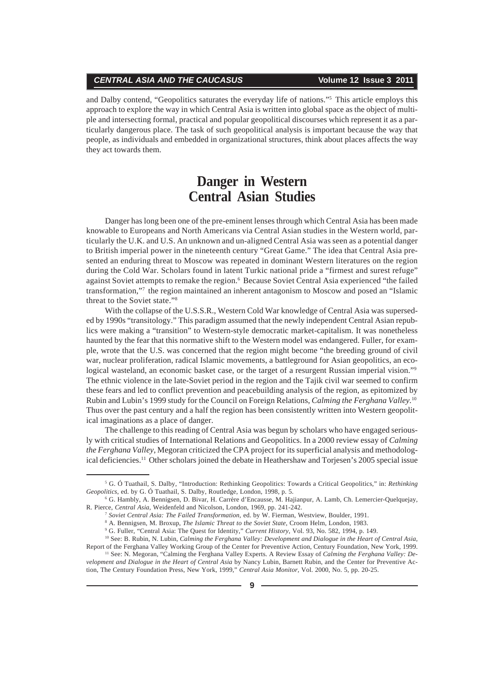and Dalby contend, "Geopolitics saturates the everyday life of nations."5 This article employs this approach to explore the way in which Central Asia is written into global space as the object of multiple and intersecting formal, practical and popular geopolitical discourses which represent it as a particularly dangerous place. The task of such geopolitical analysis is important because the way that people, as individuals and embedded in organizational structures, think about places affects the way they act towards them.

# **Danger in Western Central Asian Studies**

Danger has long been one of the pre-eminent lenses through which Central Asia has been made knowable to Europeans and North Americans via Central Asian studies in the Western world, particularly the U.K. and U.S. An unknown and un-aligned Central Asia was seen as a potential danger to British imperial power in the nineteenth century "Great Game." The idea that Central Asia presented an enduring threat to Moscow was repeated in dominant Western literatures on the region during the Cold War. Scholars found in latent Turkic national pride a "firmest and surest refuge" against Soviet attempts to remake the region.<sup>6</sup> Because Soviet Central Asia experienced "the failed transformation,"7 the region maintained an inherent antagonism to Moscow and posed an "Islamic threat to the Soviet state."8

With the collapse of the U.S.S.R., Western Cold War knowledge of Central Asia was superseded by 1990s "transitology." This paradigm assumed that the newly independent Central Asian republics were making a "transition" to Western-style democratic market-capitalism. It was nonetheless haunted by the fear that this normative shift to the Western model was endangered. Fuller, for example, wrote that the U.S. was concerned that the region might become "the breeding ground of civil war, nuclear proliferation, radical Islamic movements, a battleground for Asian geopolitics, an ecological wasteland, an economic basket case, or the target of a resurgent Russian imperial vision."<sup>9</sup> The ethnic violence in the late-Soviet period in the region and the Tajik civil war seemed to confirm these fears and led to conflict prevention and peacebuilding analysis of the region, as epitomized by Rubin and Lubin's 1999 study for the Council on Foreign Relations, *Calming the Ferghana Valley.*<sup>10</sup> Thus over the past century and a half the region has been consistently written into Western geopolitical imaginations as a place of danger.

The challenge to this reading of Central Asia was begun by scholars who have engaged seriously with critical studies of International Relations and Geopolitics. In a 2000 review essay of *Calming the Ferghana Valley*, Megoran criticized the CPA project for its superficial analysis and methodological deficiencies.11 Other scholars joined the debate in Heathershaw and Torjesen's 2005 special issue

<sup>5</sup> G. Ó Tuathail, S. Dalby, "Introduction: Rethinking Geopolitics: Towards a Critical Geopolitics," in: *Rethinking Geopolitics*, ed. by G. Ó Tuathail, S. Dalby, Routledge, London, 1998, p. 5.

<sup>6</sup> G. Hambly, A. Bennigsen, D. Bivar, H. Carrère d'Encausse, M. Hajianpur, A. Lamb, Ch. Lemercier-Quelquejay, R. Pierce, *Central Asia*, Weidenfeld and Nicolson, London, 1969, pp. 241-242.

<sup>7</sup> *Soviet Central Asia: The Failed Transformation,* ed. by W. Fierman, Westview, Boulder, 1991.

<sup>8</sup> A. Bennigsen, M. Broxup, *The Islamic Threat to the Soviet State,* Croom Helm, London, 1983.

<sup>9</sup> G. Fuller, "Central Asia: The Quest for Identity," *Current History,* Vol. 93, No. 582, 1994, p. 149.

<sup>10</sup> See: B. Rubin, N. Lubin, *Calming the Ferghana Valley: Development and Dialogue in the Heart of Central Asia*, Report of the Ferghana Valley Working Group of the Center for Preventive Action, Century Foundation, New York, 1999. <sup>11</sup> See: N. Megoran, "Calming the Ferghana Valley Experts. A Review Essay of *Calming the Ferghana Valley: De-*

*velopment and Dialogue in the Heart of Central Asia* by Nancy Lubin, Barnett Rubin, and the Center for Preventive Action, The Century Foundation Press, New York, 1999," *Central Asia Monitor,* Vol. 2000, No. 5, pp. 20-25.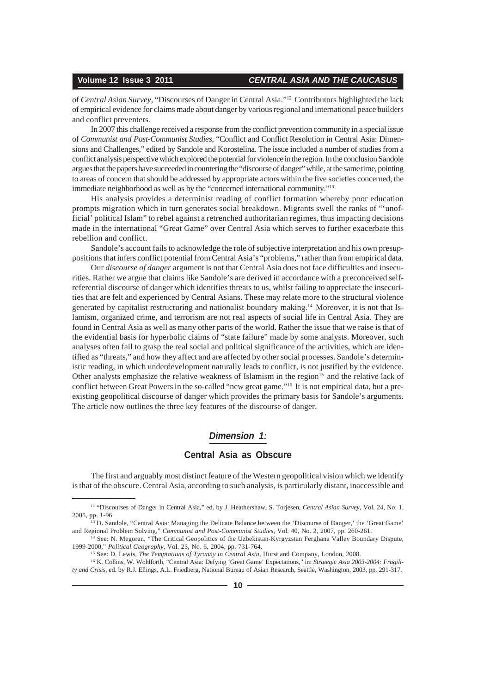of *Central Asian Survey*, "Discourses of Danger in Central Asia."12 Contributors highlighted the lack of empirical evidence for claims made about danger by various regional and international peace builders and conflict preventers.

In 2007 this challenge received a response from the conflict prevention community in a special issue of *Communist and Post-Communist Studies,* "Conflict and Conflict Resolution in Central Asia: Dimensions and Challenges," edited by Sandole and Korostelina. The issue included a number of studies from a conflict analysis perspective which explored the potential for violence in the region. In the conclusion Sandole argues that the papers have succeeded in countering the "discourse of danger" while, at the same time, pointing to areas of concern that should be addressed by appropriate actors within the five societies concerned, the immediate neighborhood as well as by the "concerned international community."13

His analysis provides a determinist reading of conflict formation whereby poor education prompts migration which in turn generates social breakdown. Migrants swell the ranks of "'unofficial' political Islam" to rebel against a retrenched authoritarian regimes, thus impacting decisions made in the international "Great Game" over Central Asia which serves to further exacerbate this rebellion and conflict.

Sandole's account fails to acknowledge the role of subjective interpretation and his own presuppositions that infers conflict potential from Central Asia's "problems," rather than from empirical data.

Our *discourse of danger* argument is not that Central Asia does not face difficulties and insecurities. Rather we argue that claims like Sandole's are derived in accordance with a preconceived selfreferential discourse of danger which identifies threats to us, whilst failing to appreciate the insecurities that are felt and experienced by Central Asians. These may relate more to the structural violence generated by capitalist restructuring and nationalist boundary making.14 Moreover, it is not that Islamism, organized crime, and terrorism are not real aspects of social life in Central Asia. They are found in Central Asia as well as many other parts of the world. Rather the issue that we raise is that of the evidential basis for hyperbolic claims of "state failure" made by some analysts. Moreover, such analyses often fail to grasp the real social and political significance of the activities, which are identified as "threats," and how they affect and are affected by other social processes. Sandole's deterministic reading, in which underdevelopment naturally leads to conflict, is not justified by the evidence. Other analysts emphasize the relative weakness of Islamism in the region<sup>15</sup> and the relative lack of conflict between Great Powers in the so-called "new great game."16 It is not empirical data, but a preexisting geopolitical discourse of danger which provides the primary basis for Sandole's arguments. The article now outlines the three key features of the discourse of danger.

# **Dimension 1:**

# **Central Asia as Obscure**

The first and arguably most distinct feature of the Western geopolitical vision which we identify is that of the obscure. Central Asia, according to such analysis, is particularly distant, inaccessible and

<sup>12 &</sup>quot;Discourses of Danger in Central Asia," ed. by J. Heathershaw, S. Torjesen, *Central Asian Survey,* Vol. 24, No. 1, 2005, pp. 1-96.

<sup>&</sup>lt;sup>13</sup> D. Sandole, "Central Asia: Managing the Delicate Balance between the 'Discourse of Danger,' the 'Great Game' and Regional Problem Solving," *Communist and Post-Communist Studies*, Vol. 40, No. 2, 2007, pp. 260-261.

<sup>&</sup>lt;sup>14</sup> See: N. Megoran, "The Critical Geopolitics of the Uzbekistan-Kyrgyzstan Ferghana Valley Boundary Dispute, 1999-2000," *Political Geography,* Vol. 23, No. 6, 2004, pp. 731-764.

<sup>15</sup> See: D. Lewis, *The Temptations of Tyranny in Central Asia,* Hurst and Company, London, 2008.

<sup>16</sup> K. Collins, W. Wohlforth, "Central Asia: Defying 'Great Game' Expectations," in: *Strategic Asia 2003-2004: Fragility and Crisis,* ed. by R.J. Ellings, A.L. Friedberg, National Bureau of Asian Research, Seattle, Washington, 2003, pp. 291-317.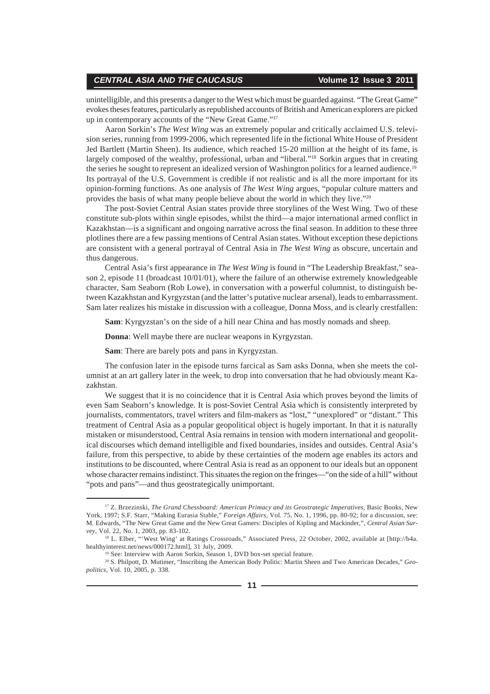unintelligible, and this presents a danger to the West which must be guarded against. "The Great Game" evokes theses features, particularly as republished accounts of British and American explorers are picked up in contemporary accounts of the "New Great Game."17

Aaron Sorkin's *The West Wing* was an extremely popular and critically acclaimed U.S. television series, running from 1999-2006, which represented life in the fictional White House of President Jed Bartlett (Martin Sheen). Its audience, which reached 15-20 million at the height of its fame, is largely composed of the wealthy, professional, urban and "liberal."18 Sorkin argues that in creating the series he sought to represent an idealized version of Washington politics for a learned audience.19 Its portrayal of the U.S. Government is credible if not realistic and is all the more important for its opinion-forming functions. As one analysis of *The West Wing* argues, "popular culture matters and provides the basis of what many people believe about the world in which they live."20

The post-Soviet Central Asian states provide three storylines of the West Wing. Two of these constitute sub-plots within single episodes, whilst the third—a major international armed conflict in Kazakhstan—is a significant and ongoing narrative across the final season. In addition to these three plotlines there are a few passing mentions of Central Asian states. Without exception these depictions are consistent with a general portrayal of Central Asia in *The West Wing* as obscure, uncertain and thus dangerous.

Central Asia's first appearance in *The West Wing* is found in "The Leadership Breakfast," season 2, episode 11 (broadcast 10/01/01), where the failure of an otherwise extremely knowledgeable character, Sam Seaborn (Rob Lowe), in conversation with a powerful columnist, to distinguish between Kazakhstan and Kyrgyzstan (and the latter's putative nuclear arsenal), leads to embarrassment. Sam later realizes his mistake in discussion with a colleague, Donna Moss, and is clearly crestfallen:

**Sam**: Kyrgyzstan's on the side of a hill near China and has mostly nomads and sheep.

**Donna**: Well maybe there are nuclear weapons in Kyrgyzstan.

**Sam**: There are barely pots and pans in Kyrgyzstan.

The confusion later in the episode turns farcical as Sam asks Donna, when she meets the columnist at an art gallery later in the week, to drop into conversation that he had obviously meant Kazakhstan.

We suggest that it is no coincidence that it is Central Asia which proves beyond the limits of even Sam Seaborn's knowledge. It is post-Soviet Central Asia which is consistently interpreted by journalists, commentators, travel writers and film-makers as "lost," "unexplored" or "distant." This treatment of Central Asia as a popular geopolitical object is hugely important. In that it is naturally mistaken or misunderstood, Central Asia remains in tension with modern international and geopolitical discourses which demand intelligible and fixed boundaries, insides and outsides. Central Asia's failure, from this perspective, to abide by these certainties of the modern age enables its actors and institutions to be discounted, where Central Asia is read as an opponent to our ideals but an opponent whose character remains indistinct. This situates the region on the fringes—"on the side of a hill" without "pots and pans"—and thus geostrategically unimportant.

<sup>17</sup> Z. Brzezinski, *The Grand Chessboard: American Primacy and its Geostrategic Imperatives,* Basic Books, New York, 1997; S.F. Starr, "Making Eurasia Stable," *Foreign Affairs,* Vol. 75, No. 1, 1996, pp. 80-92; for a discussion, see: M. Edwards, "The New Great Game and the New Great Gamers: Disciples of Kipling and Mackinder,", *Central Asian Survey,* Vol. 22, No. 1, 2003, pp. 83-102.

<sup>18</sup> L. Elber, "'West Wing' at Ratings Crossroads," Associated Press, 22 October, 2002, available at [http://b4a. healthyinterest.net/news/000172.html], 31 July, 2009.

<sup>&</sup>lt;sup>19</sup> See: Interview with Aaron Sorkin, Season 1, DVD box-set special feature.

<sup>20</sup> S. Philpott, D. Mutimer, "Inscribing the American Body Politic: Martin Sheen and Two American Decades," *Geopolitics,* Vol. 10, 2005, p. 338.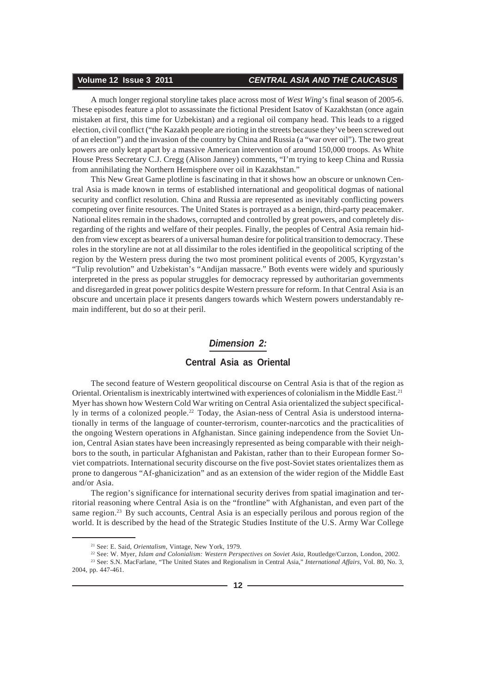A much longer regional storyline takes place across most of *West Wing*'s final **s**eason of 2005-6. These episodes feature a plot to assassinate the fictional President Isatov of Kazakhstan (once again mistaken at first, this time for Uzbekistan) and a regional oil company head. This leads to a rigged election, civil conflict ("the Kazakh people are rioting in the streets because they've been screwed out of an election") and the invasion of the country by China and Russia (a "war over oil"). The two great powers are only kept apart by a massive American intervention of around 150,000 troops. As White House Press Secretary C.J. Cregg (Alison Janney) comments, "I'm trying to keep China and Russia from annihilating the Northern Hemisphere over oil in Kazakhstan."

This New Great Game plotline is fascinating in that it shows how an obscure or unknown Central Asia is made known in terms of established international and geopolitical dogmas of national security and conflict resolution. China and Russia are represented as inevitably conflicting powers competing over finite resources. The United States is portrayed as a benign, third-party peacemaker. National elites remain in the shadows, corrupted and controlled by great powers, and completely disregarding of the rights and welfare of their peoples. Finally, the peoples of Central Asia remain hidden from view except as bearers of a universal human desire for political transition to democracy. These roles in the storyline are not at all dissimilar to the roles identified in the geopolitical scripting of the region by the Western press during the two most prominent political events of 2005, Kyrgyzstan's "Tulip revolution" and Uzbekistan's "Andijan massacre." Both events were widely and spuriously interpreted in the press as popular struggles for democracy repressed by authoritarian governments and disregarded in great power politics despite Western pressure for reform. In that Central Asia is an obscure and uncertain place it presents dangers towards which Western powers understandably remain indifferent, but do so at their peril.

# **Dimension 2:**

# **Central Asia as Oriental**

The second feature of Western geopolitical discourse on Central Asia is that of the region as Oriental. Orientalism is inextricably intertwined with experiences of colonialism in the Middle East.21 Myer has shown how Western Cold War writing on Central Asia orientalized the subject specifically in terms of a colonized people.22 Today, the Asian-ness of Central Asia is understood internationally in terms of the language of counter-terrorism, counter-narcotics and the practicalities of the ongoing Western operations in Afghanistan. Since gaining independence from the Soviet Union, Central Asian states have been increasingly represented as being comparable with their neighbors to the south, in particular Afghanistan and Pakistan, rather than to their European former Soviet compatriots. International security discourse on the five post-Soviet states orientalizes them as prone to dangerous "Af-ghanicization" and as an extension of the wider region of the Middle East and/or Asia.

The region's significance for international security derives from spatial imagination and territorial reasoning where Central Asia is on the "frontline" with Afghanistan, and even part of the same region.<sup>23</sup> By such accounts, Central Asia is an especially perilous and porous region of the world. It is described by the head of the Strategic Studies Institute of the U.S. Army War College

<sup>21</sup> See: E. Said, *Orientalism,* Vintage, New York, 1979.

<sup>&</sup>lt;sup>22</sup> See: W. Myer, *Islam and Colonialism: Western Perspectives on Soviet Asia*, Routledge/Curzon, London, 2002. 23 See: S.N. MacFarlane, "The United States and Regionalism in Central Asia*,*" *International Affairs,* Vol. 80, No. 3, 2004, pp. 447-461.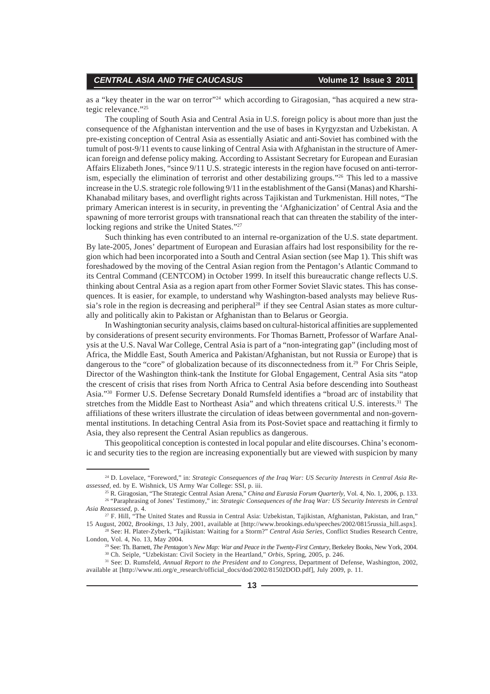as a "key theater in the war on terror"<sup>24</sup> which according to Giragosian, "has acquired a new strategic relevance."25

The coupling of South Asia and Central Asia in U.S. foreign policy is about more than just the consequence of the Afghanistan intervention and the use of bases in Kyrgyzstan and Uzbekistan. A pre-existing conception of Central Asia as essentially Asiatic and anti-Soviet has combined with the tumult of post-9/11 events to cause linking of Central Asia with Afghanistan in the structure of American foreign and defense policy making. According to Assistant Secretary for European and Eurasian Affairs Elizabeth Jones, "since 9/11 U.S. strategic interests in the region have focused on anti-terrorism, especially the elimination of terrorist and other destabilizing groups."26 This led to a massive increase in the U.S. strategic role following 9/11 in the establishment of the Gansi (Manas) and Kharshi-Khanabad military bases, and overflight rights across Tajikistan and Turkmenistan. Hill notes, "The primary American interest is in security, in preventing the 'Afghanicization' of Central Asia and the spawning of more terrorist groups with transnational reach that can threaten the stability of the interlocking regions and strike the United States."<sup>27</sup>

Such thinking has even contributed to an internal re-organization of the U.S. state department. By late-2005, Jones' department of European and Eurasian affairs had lost responsibility for the region which had been incorporated into a South and Central Asian section (see Map 1). This shift was foreshadowed by the moving of the Central Asian region from the Pentagon's Atlantic Command to its Central Command (CENTCOM) in October 1999. In itself this bureaucratic change reflects U.S. thinking about Central Asia as a region apart from other Former Soviet Slavic states. This has consequences. It is easier, for example, to understand why Washington-based analysts may believe Russia's role in the region is decreasing and peripheral<sup>28</sup> if they see Central Asian states as more culturally and politically akin to Pakistan or Afghanistan than to Belarus or Georgia.

In Washingtonian security analysis, claims based on cultural-historical affinities are supplemented by considerations of present security environments. For Thomas Barnett, Professor of Warfare Analysis at the U.S. Naval War College, Central Asia is part of a "non-integrating gap" (including most of Africa, the Middle East, South America and Pakistan/Afghanistan, but not Russia or Europe) that is dangerous to the "core" of globalization because of its disconnectedness from it.<sup>29</sup> For Chris Seiple, Director of the Washington think-tank the Institute for Global Engagement, Central Asia sits "atop the crescent of crisis that rises from North Africa to Central Asia before descending into Southeast Asia."30 Former U.S. Defense Secretary Donald Rumsfeld identifies a "broad arc of instability that stretches from the Middle East to Northeast Asia" and which threatens critical U.S. interests.<sup>31</sup> The affiliations of these writers illustrate the circulation of ideas between governmental and non-governmental institutions. In detaching Central Asia from its Post-Soviet space and reattaching it firmly to Asia, they also represent the Central Asian republics as dangerous.

This geopolitical conception is contested in local popular and elite discourses. China's economic and security ties to the region are increasing exponentially but are viewed with suspicion by many

<sup>&</sup>lt;sup>24</sup> D. Lovelace, "Foreword," in: *Strategic Consequences of the Iraq War: US Security Interests in Central Asia Reassessed,* ed. by E. Wishnick, US Army War College: SSI, p. iii.

<sup>25</sup> R. Giragosian, "The Strategic Central Asian Arena," *China and Eurasia Forum Quarterly,* Vol. 4, No. 1, 2006, p. 133. 26 "Paraphrasing of Jones' Testimony," in: *Strategic Consequences of the Iraq War: US Security Interests in Central Asia Reassessed*, p. 4.

<sup>27</sup> F. Hill, "The United States and Russia in Central Asia: Uzbekistan, Tajikistan, Afghanistan, Pakistan, and Iran," 15 August, 2002, *Brookings*, 13 July, 2001, available at [http://www.brookings.edu/speeches/2002/0815russia\_hill.aspx].

<sup>28</sup> See: H. Plater-Zyberk, "Tajikistan: Waiting for a Storm?" *Central Asia Series,* Conflict Studies Research Centre, London, Vol. 4, No. 13, May 2004.

<sup>29</sup> See: Th. Barnett, *The Pentagon's New Map: War and Peace in the Twenty-First Century*, Berkeley Books, New York, 2004. 30 Ch. Seiple, "Uzbekistan: Civil Society in the Heartland," *Orbis,* Spring, 2005, p. 246.

<sup>31</sup> See: D. Rumsfeld, *Annual Report to the President and to Congress,* Department of Defense, Washington, 2002, available at [http://www.nti.org/e\_research/official\_docs/dod/2002/81502DOD.pdf], July 2009, p. 11.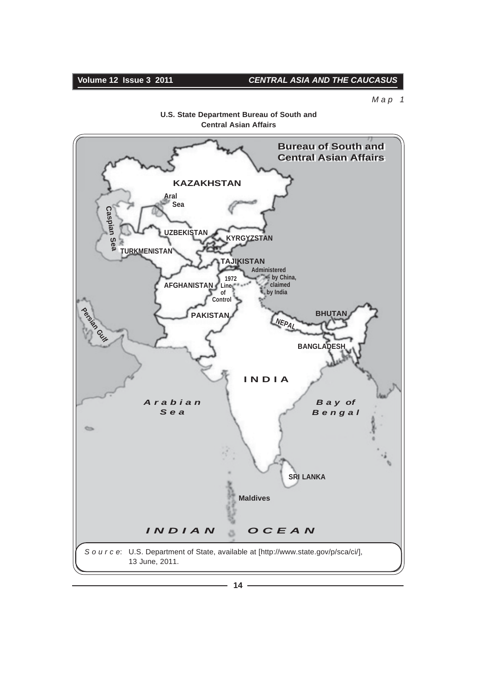Map 1



**U.S. State Department Bureau of South and Central Asian Affairs**

**14**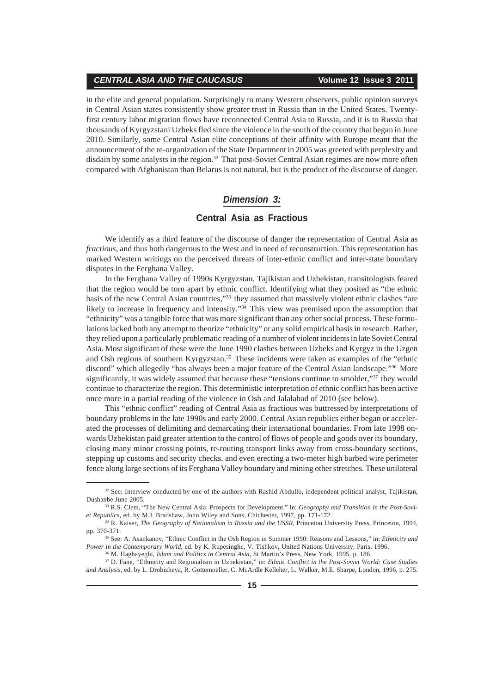in the elite and general population. Surprisingly to many Western observers, public opinion surveys in Central Asian states consistently show greater trust in Russia than in the United States. Twentyfirst century labor migration flows have reconnected Central Asia to Russia, and it is to Russia that thousands of Kyrgyzstani Uzbeks fled since the violence in the south of the country that began in June 2010. Similarly, some Central Asian elite conceptions of their affinity with Europe meant that the announcement of the re-organization of the State Department in 2005 was greeted with perplexity and disdain by some analysts in the region.<sup>32</sup> That post-Soviet Central Asian regimes are now more often compared with Afghanistan than Belarus is not natural, but is the product of the discourse of danger.

# **Dimension 3:**

# **Central Asia as Fractious**

We identify as a third feature of the discourse of danger the representation of Central Asia as *fractious*, and thus both dangerous to the West and in need of reconstruction. This representation has marked Western writings on the perceived threats of inter-ethnic conflict and inter-state boundary disputes in the Ferghana Valley.

In the Ferghana Valley of 1990s Kyrgyzstan, Tajikistan and Uzbekistan, transitologists feared that the region would be torn apart by ethnic conflict. Identifying what they posited as "the ethnic basis of the new Central Asian countries,"<sup>33</sup> they assumed that massively violent ethnic clashes "are likely to increase in frequency and intensity."34 This view was premised upon the assumption that "ethnicity" was a tangible force that was more significant than any other social process. These formulations lacked both any attempt to theorize "ethnicity" or any solid empirical basis in research. Rather, they relied upon a particularly problematic reading of a number of violent incidents in late Soviet Central Asia. Most significant of these were the June 1990 clashes between Uzbeks and Kyrgyz in the Uzgen and Osh regions of southern Kyrgyzstan.35 These incidents were taken as examples of the "ethnic discord" which allegedly "has always been a major feature of the Central Asian landscape."<sup>36</sup> More significantly, it was widely assumed that because these "tensions continue to smolder,"<sup>37</sup> they would continue to characterize the region. This deterministic interpretation of ethnic conflict has been active once more in a partial reading of the violence in Osh and Jalalabad of 2010 (see below).

This "ethnic conflict" reading of Central Asia as fractious was buttressed by interpretations of boundary problems in the late 1990s and early 2000. Central Asian republics either began or accelerated the processes of delimiting and demarcating their international boundaries. From late 1998 onwards Uzbekistan paid greater attention to the control of flows of people and goods over its boundary, closing many minor crossing points, re-routing transport links away from cross-boundary sections, stepping up customs and security checks, and even erecting a two-meter high barbed wire perimeter fence along large sections of its Ferghana Valley boundary and mining other stretches. These unilateral

<sup>&</sup>lt;sup>32</sup> See: Interview conducted by one of the authors with Rashid Abdullo, independent political analyst, Tajikistan, Dushanbe June 2005.

<sup>33</sup> R.S. Clem, "The New Central Asia: Prospects for Development," in: *Geography and Transition in the Post-Soviet Republics*, ed. by M.J. Bradshaw, John Wiley and Sons, Chichester, 1997, pp. 171-172.

<sup>34</sup> R. Kaiser, *The Geography of Nationalism in Russia and the USSR*, Princeton University Press, Princeton, 1994, pp. 370-371.

<sup>35</sup> See: A. Asankanov, "Ethnic Conflict in the Osh Region in Summer 1990: Reasons and Lessons," in: *Ethnicity and Power in the Contemporary World,* ed. by K. Rupesinghe, V. Tishkov, United Nations University, Paris, 1996.

<sup>36</sup> M. Haghayeghi, *Islam and Politics in Central Asia*, St Martin's Press, New York, 1995, p. 186.

<sup>37</sup> D. Fane, "Ethnicity and Regionalism in Uzbekistan," in: *Ethnic Conflict in the Post-Soviet World: Case Studies and Analysis,* ed. by L. Drobizheva, R. Gottemoeller, C. McArdle Kelleher, L. Walker, M.E. Sharpe, London, 1996, p. 275.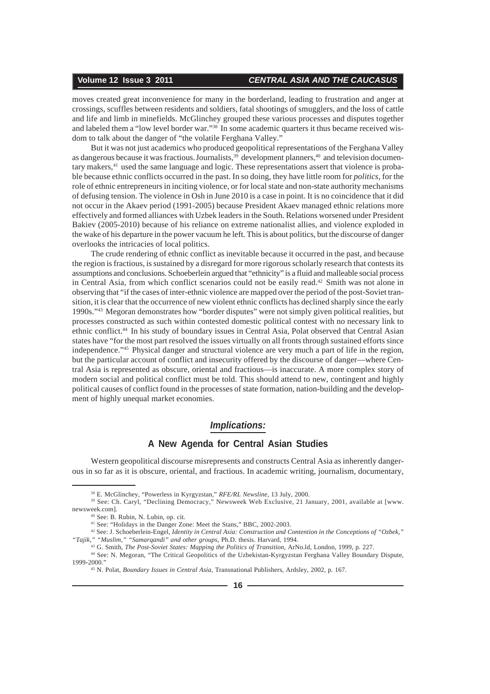moves created great inconvenience for many in the borderland, leading to frustration and anger at crossings, scuffles between residents and soldiers, fatal shootings of smugglers, and the loss of cattle and life and limb in minefields. McGlinchey grouped these various processes and disputes together and labeled them a "low level border war."38 In some academic quarters it thus became received wisdom to talk about the danger of "the volatile Ferghana Valley."

But it was not just academics who produced geopolitical representations of the Ferghana Valley as dangerous because it was fractious. Journalists,<sup>39</sup> development planners,<sup>40</sup> and television documentary makers,<sup>41</sup> used the same language and logic. These representations assert that violence is probable because ethnic conflicts occurred in the past. In so doing, they have little room for *politics*, for the role of ethnic entrepreneurs in inciting violence, or for local state and non-state authority mechanisms of defusing tension. The violence in Osh in June 2010 is a case in point. It is no coincidence that it did not occur in the Akaev period (1991-2005) because President Akaev managed ethnic relations more effectively and formed alliances with Uzbek leaders in the South. Relations worsened under President Bakiev (2005-2010) because of his reliance on extreme nationalist allies, and violence exploded in the wake of his departure in the power vacuum he left. This is about politics, but the discourse of danger overlooks the intricacies of local politics.

The crude rendering of ethnic conflict as inevitable because it occurred in the past, and because the region is fractious, is sustained by a disregard for more rigorous scholarly research that contests its assumptions and conclusions. Schoeberlein argued that "ethnicity" is a fluid and malleable social process in Central Asia, from which conflict scenarios could not be easily read.42 Smith was not alone in observing that "if the cases of inter-ethnic violence are mapped over the period of the post-Soviet transition, it is clear that the occurrence of new violent ethnic conflicts has declined sharply since the early 1990s."43 Megoran demonstrates how "border disputes" were not simply given political realities, but processes constructed as such within contested domestic political contest with no necessary link to ethnic conflict.44 In his study of boundary issues in Central Asia, Polat observed that Central Asian states have "for the most part resolved the issues virtually on all fronts through sustained efforts since independence."45 Physical danger and structural violence are very much a part of life in the region, but the particular account of conflict and insecurity offered by the discourse of danger—where Central Asia is represented as obscure, oriental and fractious—is inaccurate. A more complex story of modern social and political conflict must be told. This should attend to new, contingent and highly political causes of conflict found in the processes of state formation, nation-building and the development of highly unequal market economies.

# **Implications:**

### **A New Agenda for Central Asian Studies**

Western geopolitical discourse misrepresents and constructs Central Asia as inherently dangerous in so far as it is obscure, oriental, and fractious. In academic writing, journalism, documentary,

<sup>38</sup> E. McGlinchey, "Powerless in Kyrgyzstan," *RFE/RL Newsline*, 13 July, 2000.

<sup>39</sup> See: Ch. Caryl, "Declining Democracy," Newsweek Web Exclusive, 21 January, 2001, available at [www. newsweek.com].

<sup>40</sup> See: B. Rubin, N. Lubin, op. cit*.*

<sup>&</sup>lt;sup>41</sup> See: "Holidays in the Danger Zone: Meet the Stans," BBC, 2002-2003.

<sup>42</sup> See: J. Schoeberlein-Engel, *Identity in Central Asia: Construction and Contention in the Conceptions of "Ozbek," "Tajik," "Muslim," "Samarqandi" and other groups*, Ph.D. thesis. Harvard, 1994.

<sup>43</sup> G. Smith, *The Post-Soviet States: Mapping the Politics of Transition,* ArNo.ld, London, 1999, p. 227.

<sup>44</sup> See: N. Megoran, "The Critical Geopolitics of the Uzbekistan-Kyrgyzstan Ferghana Valley Boundary Dispute, 1999-2000."

<sup>45</sup> N. Polat, *Boundary Issues in Central Asia,* Transnational Publishers, Ardsley, 2002, p. 167.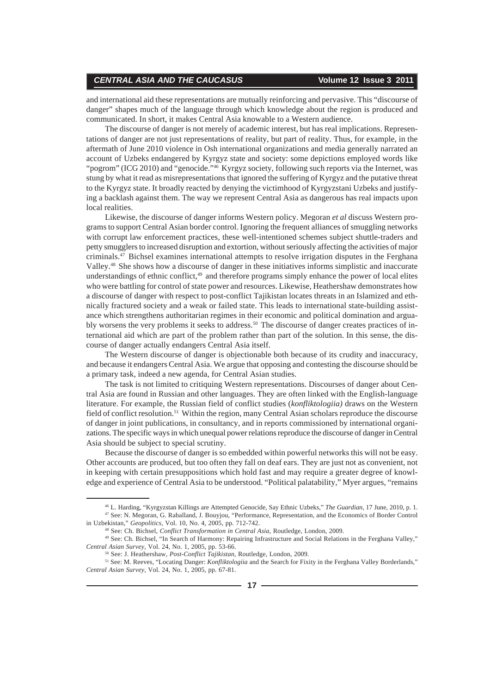and international aid these representations are mutually reinforcing and pervasive. This "discourse of danger" shapes much of the language through which knowledge about the region is produced and communicated. In short, it makes Central Asia knowable to a Western audience.

The discourse of danger is not merely of academic interest, but has real implications. Representations of danger are not just representations of reality, but part of reality. Thus, for example, in the aftermath of June 2010 violence in Osh international organizations and media generally narrated an account of Uzbeks endangered by Kyrgyz state and society: some depictions employed words like "pogrom" (ICG 2010) and "genocide."46 Kyrgyz society, following such reports via the Internet, was stung by what it read as misrepresentations that ignored the suffering of Kyrgyz and the putative threat to the Kyrgyz state. It broadly reacted by denying the victimhood of Kyrgyzstani Uzbeks and justifying a backlash against them. The way we represent Central Asia as dangerous has real impacts upon local realities.

Likewise, the discourse of danger informs Western policy. Megoran *et al* discuss Western programs to support Central Asian border control. Ignoring the frequent alliances of smuggling networks with corrupt law enforcement practices, these well-intentioned schemes subject shuttle-traders and petty smugglers to increased disruption and extortion, without seriously affecting the activities of major criminals.47 Bichsel examines international attempts to resolve irrigation disputes in the Ferghana Valley.48 She shows how a discourse of danger in these initiatives informs simplistic and inaccurate understandings of ethnic conflict,<sup>49</sup> and therefore programs simply enhance the power of local elites who were battling for control of state power and resources. Likewise, Heathershaw demonstrates how a discourse of danger with respect to post-conflict Tajikistan locates threats in an Islamized and ethnically fractured society and a weak or failed state. This leads to international state-building assistance which strengthens authoritarian regimes in their economic and political domination and arguably worsens the very problems it seeks to address.<sup>50</sup> The discourse of danger creates practices of international aid which are part of the problem rather than part of the solution. In this sense, the discourse of danger actually endangers Central Asia itself.

The Western discourse of danger is objectionable both because of its crudity and inaccuracy, and because it endangers Central Asia. We argue that opposing and contesting the discourse should be a primary task, indeed a new agenda, for Central Asian studies.

The task is not limited to critiquing Western representations. Discourses of danger about Central Asia are found in Russian and other languages. They are often linked with the English-language literature. For example, the Russian field of conflict studies (*konfliktologiia)* draws on the Western field of conflict resolution.<sup>51</sup> Within the region, many Central Asian scholars reproduce the discourse of danger in joint publications, in consultancy, and in reports commissioned by international organizations. The specific ways in which unequal power relations reproduce the discourse of danger in Central Asia should be subject to special scrutiny.

Because the discourse of danger is so embedded within powerful networks this will not be easy. Other accounts are produced, but too often they fall on deaf ears. They are just not as convenient, not in keeping with certain presuppositions which hold fast and may require a greater degree of knowledge and experience of Central Asia to be understood. "Political palatability," Myer argues, "remains

<sup>46</sup> L. Harding, "Kyrgyzstan Killings are Attempted Genocide, Say Ethnic Uzbeks," *The Guardian*, 17 June, 2010, p. 1. 47 See: N. Megoran, G. Raballand, J. Bouyjou, "Performance, Representation, and the Economics of Border Control in Uzbekistan," *Geopolitics,* Vol. 10, No. 4, 2005, pp. 712-742.

<sup>48</sup> See: Ch. Bichsel, *Conflict Transformation in Central Asia,* Routledge, London, 2009.

<sup>49</sup> See: Ch. Bichsel, "In Search of Harmony: Repairing Infrastructure and Social Relations in the Ferghana Valley," *Central Asian Survey,* Vol. 24, No. 1, 2005, pp. 53-66.

<sup>50</sup> See: J. Heathershaw, *Post-Conflict Tajikistan,* Routledge, London, 2009.

<sup>51</sup> See: M. Reeves, "Locating Danger: *Konfliktologiia* and the Search for Fixity in the Ferghana Valley Borderlands," *Central Asian Survey,* Vol. 24, No. 1, 2005, pp. 67-81.